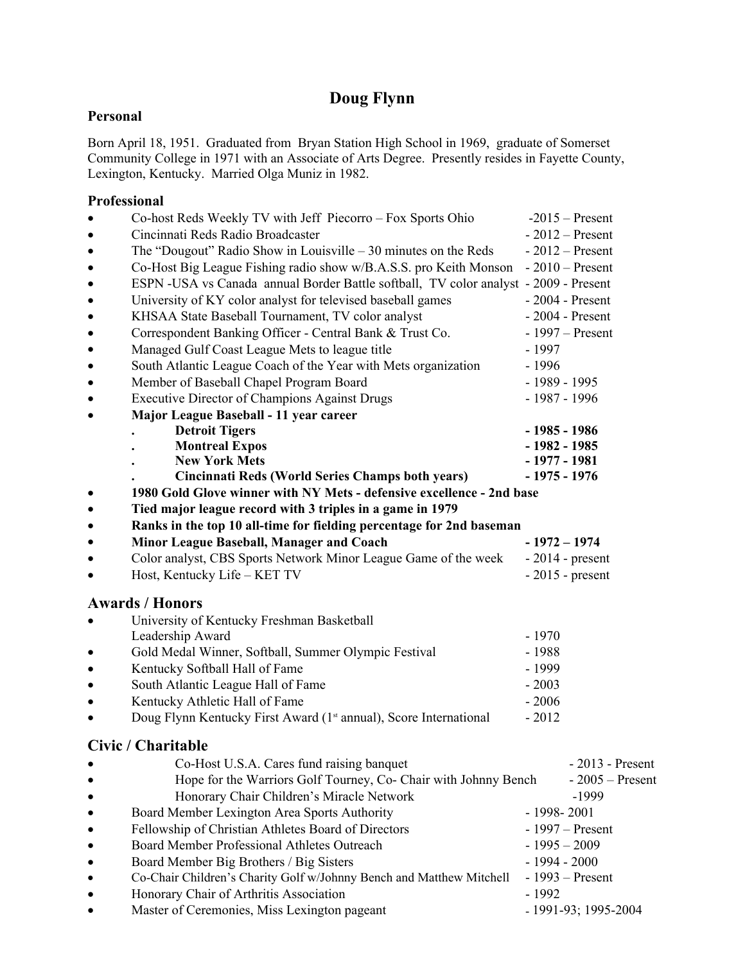## **Doug Flynn**

## **Personal**

Born April 18, 1951. Graduated from Bryan Station High School in 1969, graduate of Somerset Community College in 1971 with an Associate of Arts Degree. Presently resides in Fayette County, Lexington, Kentucky. Married Olga Muniz in 1982.

## **Professional**

| $\bullet$ | Co-host Reds Weekly TV with Jeff Piecorro – Fox Sports Ohio                             | $-2015$ – Present               |
|-----------|-----------------------------------------------------------------------------------------|---------------------------------|
|           | Cincinnati Reds Radio Broadcaster                                                       | $-2012$ – Present               |
| $\bullet$ | The "Dougout" Radio Show in Louisville $-30$ minutes on the Reds                        | $-2012$ – Present               |
| $\bullet$ | Co-Host Big League Fishing radio show w/B.A.S.S. pro Keith Monson                       | $-2010$ – Present               |
| ٠         | ESPN -USA vs Canada annual Border Battle softball, TV color analyst - 2009 - Present    |                                 |
| ٠         | University of KY color analyst for televised baseball games                             | $-2004$ - Present               |
| $\bullet$ | KHSAA State Baseball Tournament, TV color analyst                                       | $-2004$ - Present               |
| $\bullet$ | Correspondent Banking Officer - Central Bank & Trust Co.                                | $-1997$ – Present               |
| $\bullet$ | Managed Gulf Coast League Mets to league title                                          | $-1997$                         |
| $\bullet$ | South Atlantic League Coach of the Year with Mets organization                          | $-1996$                         |
| $\bullet$ | Member of Baseball Chapel Program Board                                                 | $-1989 - 1995$                  |
| $\bullet$ | <b>Executive Director of Champions Against Drugs</b>                                    | $-1987 - 1996$                  |
|           | Major League Baseball - 11 year career                                                  |                                 |
|           | <b>Detroit Tigers</b>                                                                   | $-1985 - 1986$                  |
|           | <b>Montreal Expos</b>                                                                   | $-1982 - 1985$                  |
|           | <b>New York Mets</b>                                                                    | $-1977 - 1981$                  |
|           | <b>Cincinnati Reds (World Series Champs both years)</b>                                 | $-1975 - 1976$                  |
| $\bullet$ | 1980 Gold Glove winner with NY Mets - defensive excellence - 2nd base                   |                                 |
| $\bullet$ | Tied major league record with 3 triples in a game in 1979                               |                                 |
| $\bullet$ | Ranks in the top 10 all-time for fielding percentage for 2nd baseman                    |                                 |
| $\bullet$ | Minor League Baseball, Manager and Coach                                                | $-1972 - 1974$                  |
| $\bullet$ | Color analyst, CBS Sports Network Minor League Game of the week                         | $-2014$ - present               |
|           | Host, Kentucky Life - KET TV                                                            | $-2015$ - present               |
|           |                                                                                         |                                 |
|           | <b>Awards / Honors</b>                                                                  |                                 |
|           | University of Kentucky Freshman Basketball                                              |                                 |
|           | Leadership Award                                                                        | $-1970$                         |
| $\bullet$ | Gold Medal Winner, Softball, Summer Olympic Festival                                    | $-1988$                         |
| $\bullet$ | Kentucky Softball Hall of Fame                                                          | - 1999                          |
| $\bullet$ | South Atlantic League Hall of Fame                                                      | $-2003$                         |
|           | Kentucky Athletic Hall of Fame                                                          | $-2006$                         |
|           | Doug Flynn Kentucky First Award (1 <sup>st</sup> annual), Score International           | $-2012$                         |
|           | Civic / Charitable                                                                      |                                 |
|           |                                                                                         | $-2013$ - Present               |
|           | Co-Host U.S.A. Cares fund raising banquet                                               | $-2005$ – Present               |
|           | Hope for the Warriors Golf Tourney, Co- Chair with Johnny Bench                         |                                 |
|           | Honorary Chair Children's Miracle Network                                               | -1999                           |
|           | Board Member Lexington Area Sports Authority                                            | $-1998 - 2001$                  |
|           | Fellowship of Christian Athletes Board of Directors                                     | $-1997$ – Present               |
|           | Board Member Professional Athletes Outreach                                             | $-1995 - 2009$                  |
|           | Board Member Big Brothers / Big Sisters                                                 | $-1994 - 2000$                  |
|           | Co-Chair Children's Charity Golf w/Johnny Bench and Matthew Mitchell                    | $-1993 -$ Present               |
|           |                                                                                         |                                 |
|           | Honorary Chair of Arthritis Association<br>Master of Ceremonies, Miss Lexington pageant | $-1992$<br>- 1991-93; 1995-2004 |